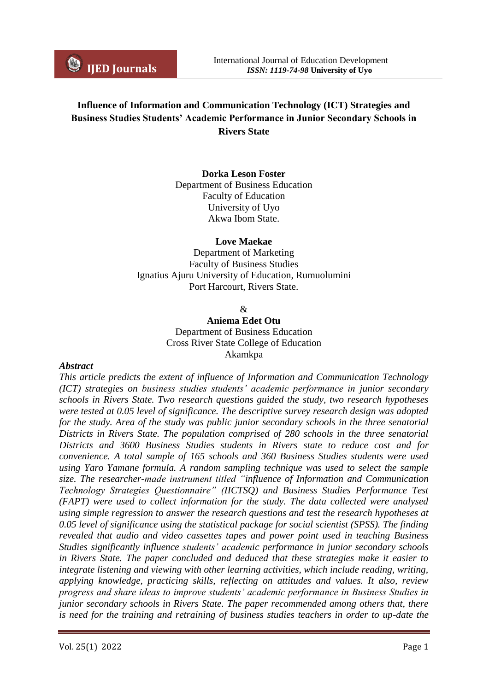# **Influence of Information and Communication Technology (ICT) Strategies and Business Studies Students' Academic Performance in Junior Secondary Schools in Rivers State**

### **Dorka Leson Foster**

Department of Business Education Faculty of Education University of Uyo Akwa Ibom State.

#### **Love Maekae**

Department of Marketing Faculty of Business Studies Ignatius Ajuru University of Education, Rumuolumini Port Harcourt, Rivers State.

 $\mathcal{R}$ 

**Aniema Edet Otu** Department of Business Education Cross River State College of Education Akamkpa

#### *Abstract*

*This article predicts the extent of influence of Information and Communication Technology (ICT) strategies on business studies students' academic performance in junior secondary schools in Rivers State. Two research questions guided the study, two research hypotheses were tested at 0.05 level of significance. The descriptive survey research design was adopted for the study. Area of the study was public junior secondary schools in the three senatorial Districts in Rivers State. The population comprised of 280 schools in the three senatorial Districts and 3600 Business Studies students in Rivers state to reduce cost and for convenience. A total sample of 165 schools and 360 Business Studies students were used using Yaro Yamane formula. A random sampling technique was used to select the sample size. The researcher-made instrument titled "influence of Information and Communication Technology Strategies Questionnaire" (IICTSQ) and Business Studies Performance Test (FAPT) were used to collect information for the study. The data collected were analysed using simple regression to answer the research questions and test the research hypotheses at 0.05 level of significance using the statistical package for social scientist (SPSS). The finding revealed that audio and video cassettes tapes and power point used in teaching Business Studies significantly influence students' academic performance in junior secondary schools in Rivers State. The paper concluded and deduced that these strategies make it easier to integrate listening and viewing with other learning activities, which include reading, writing, applying knowledge, practicing skills, reflecting on attitudes and values. It also, review progress and share ideas to improve students' academic performance in Business Studies in junior secondary schools in Rivers State. The paper recommended among others that, there is need for the training and retraining of business studies teachers in order to up-date the*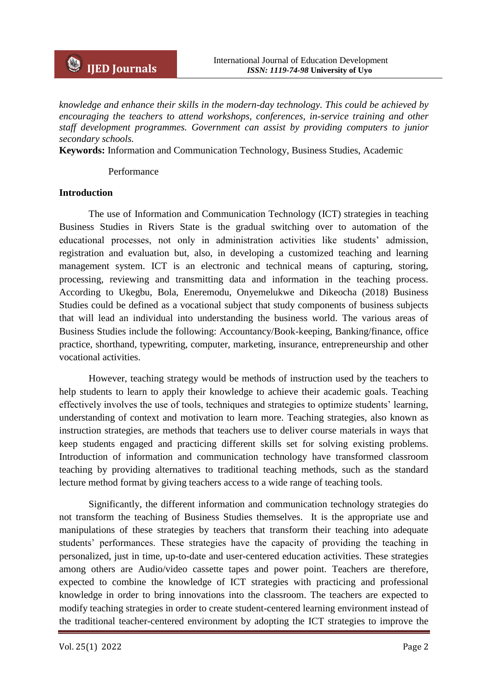*knowledge and enhance their skills in the modern-day technology. This could be achieved by encouraging the teachers to attend workshops, conferences, in-service training and other staff development programmes. Government can assist by providing computers to junior secondary schools.* 

**Keywords:** Information and Communication Technology, Business Studies, Academic

#### Performance

#### **Introduction**

The use of Information and Communication Technology (ICT) strategies in teaching Business Studies in Rivers State is the gradual switching over to automation of the educational processes, not only in administration activities like students' admission, registration and evaluation but, also, in developing a customized teaching and learning management system. ICT is an electronic and technical means of capturing, storing, processing, reviewing and transmitting data and information in the teaching process. According to Ukegbu, Bola, Eneremodu, Onyemelukwe and Dikeocha (2018) Business Studies could be defined as a vocational subject that study components of business subjects that will lead an individual into understanding the business world. The various areas of Business Studies include the following: Accountancy/Book-keeping, Banking/finance, office practice, shorthand, typewriting, computer, marketing, insurance, entrepreneurship and other vocational activities.

However, teaching strategy would be methods of instruction used by the teachers to help students to learn to apply their knowledge to achieve their academic goals. Teaching effectively involves the use of tools, techniques and strategies to optimize students' learning, understanding of context and motivation to learn more. Teaching strategies, also known as instruction strategies, are methods that teachers use to deliver course materials in ways that keep students engaged and practicing different skills set for solving existing problems. Introduction of information and communication technology have transformed classroom teaching by providing alternatives to traditional teaching methods, such as the standard lecture method format by giving teachers access to a wide range of teaching tools.

Significantly, the different information and communication technology strategies do not transform the teaching of Business Studies themselves. It is the appropriate use and manipulations of these strategies by teachers that transform their teaching into adequate students' performances. These strategies have the capacity of providing the teaching in personalized, just in time, up-to-date and user-centered education activities. These strategies among others are Audio/video cassette tapes and power point. Teachers are therefore, expected to combine the knowledge of ICT strategies with practicing and professional knowledge in order to bring innovations into the classroom. The teachers are expected to modify teaching strategies in order to create student-centered learning environment instead of the traditional teacher-centered environment by adopting the ICT strategies to improve the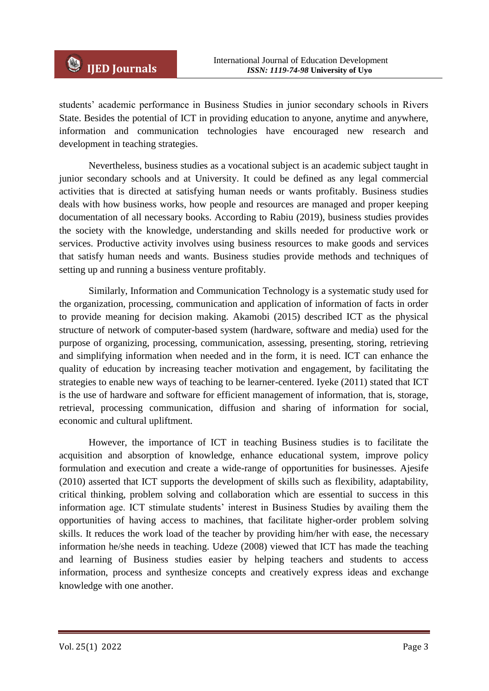students' academic performance in Business Studies in junior secondary schools in Rivers State. Besides the potential of ICT in providing education to anyone, anytime and anywhere, information and communication technologies have encouraged new research and development in teaching strategies.

Nevertheless, business studies as a vocational subject is an academic subject taught in junior secondary schools and at University. It could be defined as any legal commercial activities that is directed at satisfying human needs or wants profitably. Business studies deals with how business works, how people and resources are managed and proper keeping documentation of all necessary books. According to Rabiu (2019), business studies provides the society with the knowledge, understanding and skills needed for productive work or services. Productive activity involves using business resources to make goods and services that satisfy human needs and wants. Business studies provide methods and techniques of setting up and running a business venture profitably.

Similarly, Information and Communication Technology is a systematic study used for the organization, processing, communication and application of information of facts in order to provide meaning for decision making. Akamobi (2015) described ICT as the physical structure of network of computer-based system (hardware, software and media) used for the purpose of organizing, processing, communication, assessing, presenting, storing, retrieving and simplifying information when needed and in the form, it is need. ICT can enhance the quality of education by increasing teacher motivation and engagement, by facilitating the strategies to enable new ways of teaching to be learner-centered. Iyeke (2011) stated that ICT is the use of hardware and software for efficient management of information, that is, storage, retrieval, processing communication, diffusion and sharing of information for social, economic and cultural upliftment.

However, the importance of ICT in teaching Business studies is to facilitate the acquisition and absorption of knowledge, enhance educational system, improve policy formulation and execution and create a wide-range of opportunities for businesses. Ajesife (2010) asserted that ICT supports the development of skills such as flexibility, adaptability, critical thinking, problem solving and collaboration which are essential to success in this information age. ICT stimulate students' interest in Business Studies by availing them the opportunities of having access to machines, that facilitate higher-order problem solving skills. It reduces the work load of the teacher by providing him/her with ease, the necessary information he/she needs in teaching. Udeze (2008) viewed that ICT has made the teaching and learning of Business studies easier by helping teachers and students to access information, process and synthesize concepts and creatively express ideas and exchange knowledge with one another.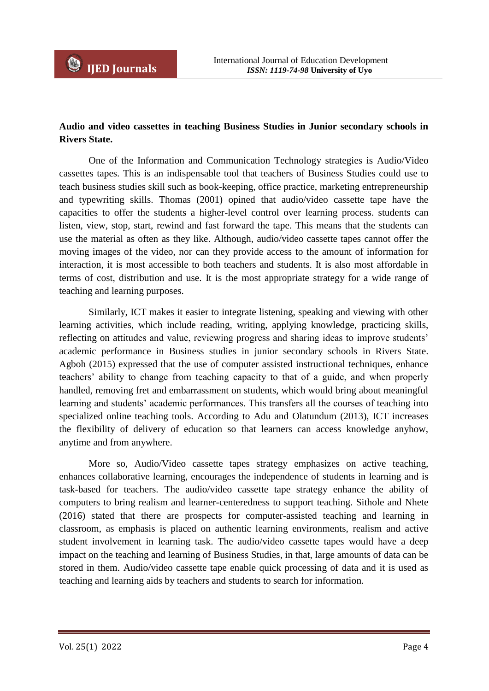# **Audio and video cassettes in teaching Business Studies in Junior secondary schools in Rivers State.**

One of the Information and Communication Technology strategies is Audio/Video cassettes tapes. This is an indispensable tool that teachers of Business Studies could use to teach business studies skill such as book-keeping, office practice, marketing entrepreneurship and typewriting skills. Thomas (2001) opined that audio/video cassette tape have the capacities to offer the students a higher-level control over learning process. students can listen, view, stop, start, rewind and fast forward the tape. This means that the students can use the material as often as they like. Although, audio/video cassette tapes cannot offer the moving images of the video, nor can they provide access to the amount of information for interaction, it is most accessible to both teachers and students. It is also most affordable in terms of cost, distribution and use. It is the most appropriate strategy for a wide range of teaching and learning purposes.

Similarly, ICT makes it easier to integrate listening, speaking and viewing with other learning activities, which include reading, writing, applying knowledge, practicing skills, reflecting on attitudes and value, reviewing progress and sharing ideas to improve students' academic performance in Business studies in junior secondary schools in Rivers State. Agboh (2015) expressed that the use of computer assisted instructional techniques, enhance teachers' ability to change from teaching capacity to that of a guide, and when properly handled, removing fret and embarrassment on students, which would bring about meaningful learning and students' academic performances. This transfers all the courses of teaching into specialized online teaching tools. According to Adu and Olatundum (2013), ICT increases the flexibility of delivery of education so that learners can access knowledge anyhow, anytime and from anywhere.

More so, Audio/Video cassette tapes strategy emphasizes on active teaching, enhances collaborative learning, encourages the independence of students in learning and is task-based for teachers. The audio/video cassette tape strategy enhance the ability of computers to bring realism and learner-centeredness to support teaching. Sithole and Nhete (2016) stated that there are prospects for computer-assisted teaching and learning in classroom, as emphasis is placed on authentic learning environments, realism and active student involvement in learning task. The audio/video cassette tapes would have a deep impact on the teaching and learning of Business Studies, in that, large amounts of data can be stored in them. Audio/video cassette tape enable quick processing of data and it is used as teaching and learning aids by teachers and students to search for information.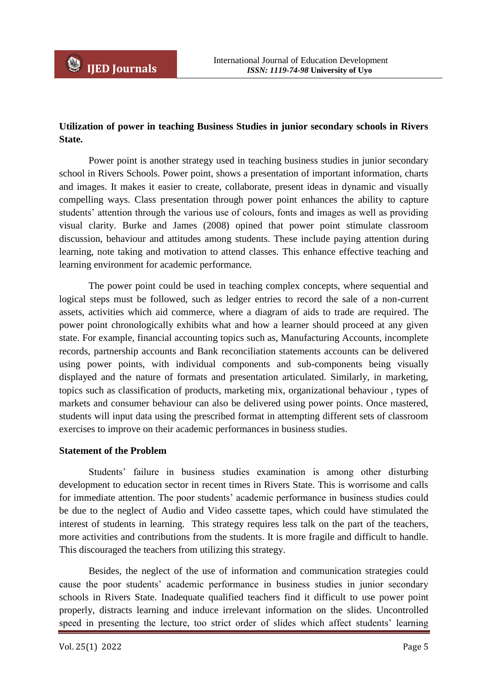

# **Utilization of power in teaching Business Studies in junior secondary schools in Rivers State.**

Power point is another strategy used in teaching business studies in junior secondary school in Rivers Schools. Power point, shows a presentation of important information, charts and images. It makes it easier to create, collaborate, present ideas in dynamic and visually compelling ways. Class presentation through power point enhances the ability to capture students' attention through the various use of colours, fonts and images as well as providing visual clarity. Burke and James (2008) opined that power point stimulate classroom discussion, behaviour and attitudes among students. These include paying attention during learning, note taking and motivation to attend classes. This enhance effective teaching and learning environment for academic performance.

The power point could be used in teaching complex concepts, where sequential and logical steps must be followed, such as ledger entries to record the sale of a non-current assets, activities which aid commerce, where a diagram of aids to trade are required. The power point chronologically exhibits what and how a learner should proceed at any given state. For example, financial accounting topics such as, Manufacturing Accounts, incomplete records, partnership accounts and Bank reconciliation statements accounts can be delivered using power points, with individual components and sub-components being visually displayed and the nature of formats and presentation articulated. Similarly, in marketing, topics such as classification of products, marketing mix, organizational behaviour , types of markets and consumer behaviour can also be delivered using power points. Once mastered, students will input data using the prescribed format in attempting different sets of classroom exercises to improve on their academic performances in business studies.

### **Statement of the Problem**

Students' failure in business studies examination is among other disturbing development to education sector in recent times in Rivers State. This is worrisome and calls for immediate attention. The poor students' academic performance in business studies could be due to the neglect of Audio and Video cassette tapes, which could have stimulated the interest of students in learning. This strategy requires less talk on the part of the teachers, more activities and contributions from the students. It is more fragile and difficult to handle. This discouraged the teachers from utilizing this strategy.

Besides, the neglect of the use of information and communication strategies could cause the poor students' academic performance in business studies in junior secondary schools in Rivers State. Inadequate qualified teachers find it difficult to use power point properly, distracts learning and induce irrelevant information on the slides. Uncontrolled speed in presenting the lecture, too strict order of slides which affect students' learning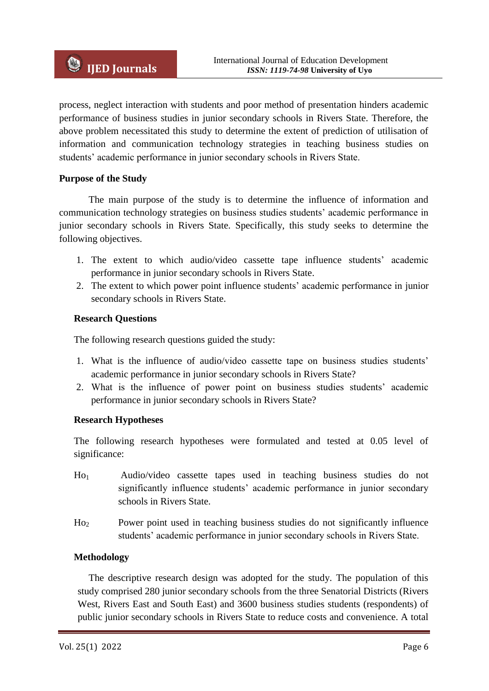process, neglect interaction with students and poor method of presentation hinders academic performance of business studies in junior secondary schools in Rivers State. Therefore, the above problem necessitated this study to determine the extent of prediction of utilisation of information and communication technology strategies in teaching business studies on students' academic performance in junior secondary schools in Rivers State.

### **Purpose of the Study**

The main purpose of the study is to determine the influence of information and communication technology strategies on business studies students' academic performance in junior secondary schools in Rivers State. Specifically, this study seeks to determine the following objectives.

- 1. The extent to which audio/video cassette tape influence students' academic performance in junior secondary schools in Rivers State.
- 2. The extent to which power point influence students' academic performance in junior secondary schools in Rivers State.

## **Research Questions**

The following research questions guided the study:

- 1. What is the influence of audio/video cassette tape on business studies students' academic performance in junior secondary schools in Rivers State?
- 2. What is the influence of power point on business studies students' academic performance in junior secondary schools in Rivers State?

### **Research Hypotheses**

The following research hypotheses were formulated and tested at 0.05 level of significance:

- Ho1 Audio/video cassette tapes used in teaching business studies do not significantly influence students' academic performance in junior secondary schools in Rivers State.
- Ho2 Power point used in teaching business studies do not significantly influence students' academic performance in junior secondary schools in Rivers State.

### **Methodology**

The descriptive research design was adopted for the study. The population of this study comprised 280 junior secondary schools from the three Senatorial Districts (Rivers West, Rivers East and South East) and 3600 business studies students (respondents) of public junior secondary schools in Rivers State to reduce costs and convenience. A total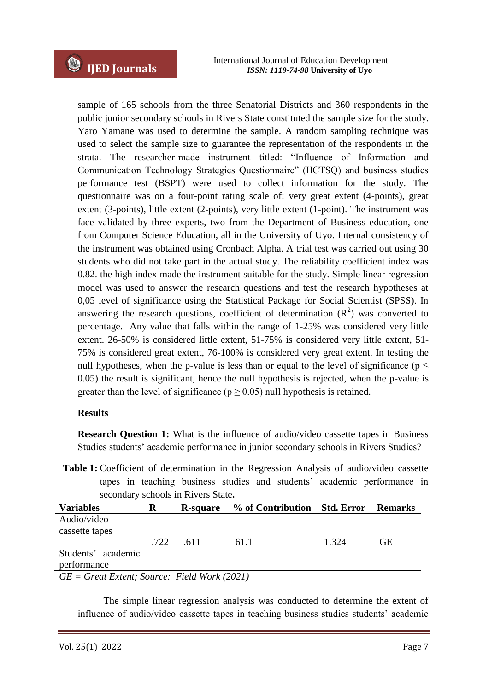sample of 165 schools from the three Senatorial Districts and 360 respondents in the public junior secondary schools in Rivers State constituted the sample size for the study. Yaro Yamane was used to determine the sample. A random sampling technique was used to select the sample size to guarantee the representation of the respondents in the strata. The researcher-made instrument titled: "Influence of Information and Communication Technology Strategies Questionnaire" (IICTSQ) and business studies performance test (BSPT) were used to collect information for the study. The questionnaire was on a four-point rating scale of: very great extent (4-points), great extent (3-points), little extent (2-points), very little extent (1-point). The instrument was face validated by three experts, two from the Department of Business education, one from Computer Science Education, all in the University of Uyo. Internal consistency of the instrument was obtained using Cronbach Alpha. A trial test was carried out using 30 students who did not take part in the actual study. The reliability coefficient index was 0.82. the high index made the instrument suitable for the study. Simple linear regression model was used to answer the research questions and test the research hypotheses at 0,05 level of significance using the Statistical Package for Social Scientist (SPSS). In answering the research questions, coefficient of determination  $(R^2)$  was converted to percentage. Any value that falls within the range of 1-25% was considered very little extent. 26-50% is considered little extent, 51-75% is considered very little extent, 51- 75% is considered great extent, 76-100% is considered very great extent. In testing the null hypotheses, when the p-value is less than or equal to the level of significance ( $p \leq$ 0.05) the result is significant, hence the null hypothesis is rejected, when the p-value is greater than the level of significance ( $p \ge 0.05$ ) null hypothesis is retained.

### **Results**

**Research Question 1:** What is the influence of audio/video cassette tapes in Business Studies students' academic performance in junior secondary schools in Rivers Studies?

**Table 1:** Coefficient of determination in the Regression Analysis of audio/video cassette tapes in teaching business studies and students' academic performance in secondary schools in Rivers State**.**

| <b>Variables</b>                                | R    | R-square | % of Contribution Std. Error |       | <b>Remarks</b> |  |
|-------------------------------------------------|------|----------|------------------------------|-------|----------------|--|
| Audio/video                                     |      |          |                              |       |                |  |
| cassette tapes                                  |      |          |                              |       |                |  |
|                                                 | .722 | .611     | 61.1                         | 1.324 | GЕ             |  |
| Students' academic                              |      |          |                              |       |                |  |
| performance                                     |      |          |                              |       |                |  |
| $GE = Great Extent$ ; Source: Field Work (2021) |      |          |                              |       |                |  |

 The simple linear regression analysis was conducted to determine the extent of influence of audio/video cassette tapes in teaching business studies students' academic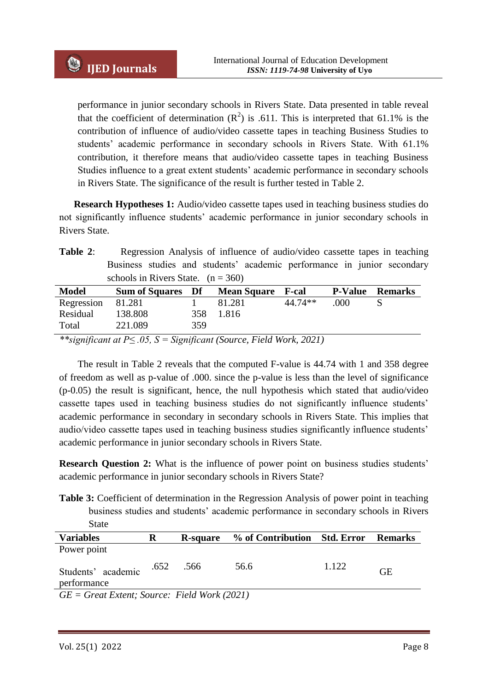performance in junior secondary schools in Rivers State. Data presented in table reveal that the coefficient of determination  $(R^2)$  is .611. This is interpreted that 61.1% is the contribution of influence of audio/video cassette tapes in teaching Business Studies to students' academic performance in secondary schools in Rivers State. With 61.1% contribution, it therefore means that audio/video cassette tapes in teaching Business Studies influence to a great extent students' academic performance in secondary schools in Rivers State. The significance of the result is further tested in Table 2.

**Research Hypotheses 1:** Audio/video cassette tapes used in teaching business studies do not significantly influence students' academic performance in junior secondary schools in Rivers State.

**Table 2**: Regression Analysis of influence of audio/video cassette tapes in teaching Business studies and students' academic performance in junior secondary schools in Rivers State.  $(n = 360)$ 

| <b>Model</b>      | <b>Sum of Squares</b> Df |     | <b>Mean Square</b> F-cal |         | <b>P-Value</b> | <b>Remarks</b> |
|-------------------|--------------------------|-----|--------------------------|---------|----------------|----------------|
| Regression 81.281 |                          |     | 81.281                   | 44.74** | .000           |                |
| Residual          | 138.808                  | 358 | - 1.816                  |         |                |                |
| Total             | 221.089                  | 359 |                          |         |                |                |
|                   |                          |     |                          |         |                |                |

*\*\*significant at P≤ .05, S = Significant (Source, Field Work, 2021)*

The result in Table 2 reveals that the computed F-value is 44.74 with 1 and 358 degree of freedom as well as p-value of .000. since the p-value is less than the level of significance (p-0.05) the result is significant, hence, the null hypothesis which stated that audio/video cassette tapes used in teaching business studies do not significantly influence students' academic performance in secondary in secondary schools in Rivers State. This implies that audio/video cassette tapes used in teaching business studies significantly influence students' academic performance in junior secondary schools in Rivers State.

**Research Question 2:** What is the influence of power point on business studies students' academic performance in junior secondary schools in Rivers State?

Table 3: Coefficient of determination in the Regression Analysis of power point in teaching business studies and students' academic performance in secondary schools in Rivers State

| <b>Variables</b>                                |      | <b>R-square</b> | % of Contribution Std. Error |       | <b>Remarks</b> |
|-------------------------------------------------|------|-----------------|------------------------------|-------|----------------|
| Power point                                     |      |                 |                              |       |                |
| Students' academic<br>performance               | .652 | .566            | 56.6                         | 1.122 | GE             |
| $CF = C$ usst Enterty Sources Eight Work (2021) |      |                 |                              |       |                |

*GE = Great Extent; Source: Field Work (2021)*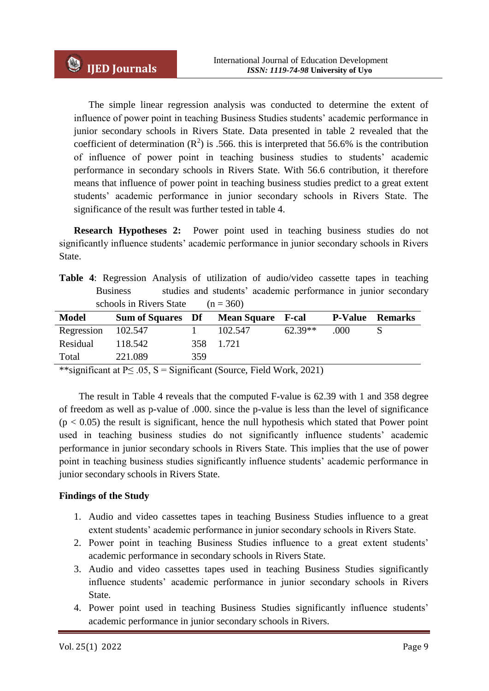The simple linear regression analysis was conducted to determine the extent of influence of power point in teaching Business Studies students' academic performance in junior secondary schools in Rivers State. Data presented in table 2 revealed that the coefficient of determination  $(R^2)$  is .566. this is interpreted that 56.6% is the contribution of influence of power point in teaching business studies to students' academic performance in secondary schools in Rivers State. With 56.6 contribution, it therefore means that influence of power point in teaching business studies predict to a great extent students' academic performance in junior secondary schools in Rivers State. The significance of the result was further tested in table 4.

**Research Hypotheses 2:** Power point used in teaching business studies do not significantly influence students' academic performance in junior secondary schools in Rivers State.

|                                     |  | <b>Table 4:</b> Regression Analysis of utilization of audio/video cassette tapes in teaching |  |  |
|-------------------------------------|--|----------------------------------------------------------------------------------------------|--|--|
| <b>Business</b>                     |  | studies and students' academic performance in junior secondary                               |  |  |
| schools in Rivers State $(n = 360)$ |  |                                                                                              |  |  |

| <b>Model</b>       | Sum of Squares Df Mean Square F-cal |     |         |           | <b>P-Value</b> | <b>Remarks</b> |
|--------------------|-------------------------------------|-----|---------|-----------|----------------|----------------|
| Regression 102.547 |                                     |     | 102.547 | $62.39**$ | .000           |                |
| Residual           | 118.542                             | 358 | 1.721   |           |                |                |
| Total              | 221.089                             | 359 |         |           |                |                |

\*\*significant at  $P \le 0.05$ , S = Significant (Source, Field Work, 2021)

 The result in Table 4 reveals that the computed F-value is 62.39 with 1 and 358 degree of freedom as well as p-value of .000. since the p-value is less than the level of significance  $(p < 0.05)$  the result is significant, hence the null hypothesis which stated that Power point used in teaching business studies do not significantly influence students' academic performance in junior secondary schools in Rivers State. This implies that the use of power point in teaching business studies significantly influence students' academic performance in junior secondary schools in Rivers State.

# **Findings of the Study**

- 1. Audio and video cassettes tapes in teaching Business Studies influence to a great extent students' academic performance in junior secondary schools in Rivers State.
- 2. Power point in teaching Business Studies influence to a great extent students' academic performance in secondary schools in Rivers State.
- 3. Audio and video cassettes tapes used in teaching Business Studies significantly influence students' academic performance in junior secondary schools in Rivers State.
- 4. Power point used in teaching Business Studies significantly influence students' academic performance in junior secondary schools in Rivers.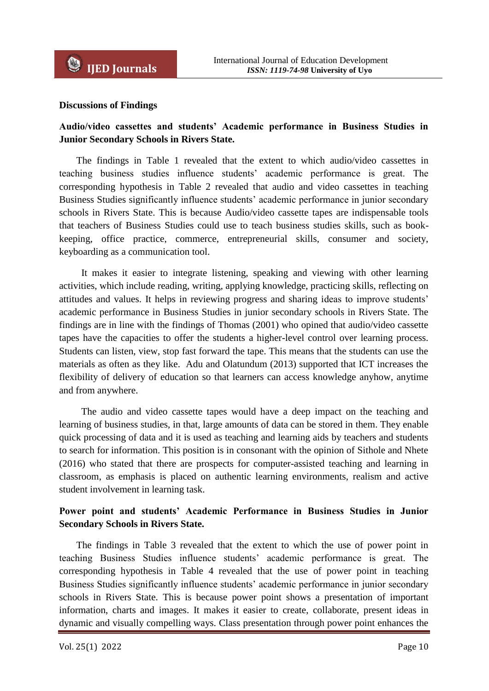### **Discussions of Findings**

# **Audio/video cassettes and students' Academic performance in Business Studies in Junior Secondary Schools in Rivers State.**

 The findings in Table 1 revealed that the extent to which audio/video cassettes in teaching business studies influence students' academic performance is great. The corresponding hypothesis in Table 2 revealed that audio and video cassettes in teaching Business Studies significantly influence students' academic performance in junior secondary schools in Rivers State. This is because Audio/video cassette tapes are indispensable tools that teachers of Business Studies could use to teach business studies skills, such as bookkeeping, office practice, commerce, entrepreneurial skills, consumer and society, keyboarding as a communication tool.

 It makes it easier to integrate listening, speaking and viewing with other learning activities, which include reading, writing, applying knowledge, practicing skills, reflecting on attitudes and values. It helps in reviewing progress and sharing ideas to improve students' academic performance in Business Studies in junior secondary schools in Rivers State. The findings are in line with the findings of Thomas (2001) who opined that audio/video cassette tapes have the capacities to offer the students a higher-level control over learning process. Students can listen, view, stop fast forward the tape. This means that the students can use the materials as often as they like. Adu and Olatundum (2013) supported that ICT increases the flexibility of delivery of education so that learners can access knowledge anyhow, anytime and from anywhere.

 The audio and video cassette tapes would have a deep impact on the teaching and learning of business studies, in that, large amounts of data can be stored in them. They enable quick processing of data and it is used as teaching and learning aids by teachers and students to search for information. This position is in consonant with the opinion of Sithole and Nhete (2016) who stated that there are prospects for computer-assisted teaching and learning in classroom, as emphasis is placed on authentic learning environments, realism and active student involvement in learning task.

## **Power point and students' Academic Performance in Business Studies in Junior Secondary Schools in Rivers State.**

 The findings in Table 3 revealed that the extent to which the use of power point in teaching Business Studies influence students' academic performance is great. The corresponding hypothesis in Table 4 revealed that the use of power point in teaching Business Studies significantly influence students' academic performance in junior secondary schools in Rivers State. This is because power point shows a presentation of important information, charts and images. It makes it easier to create, collaborate, present ideas in dynamic and visually compelling ways. Class presentation through power point enhances the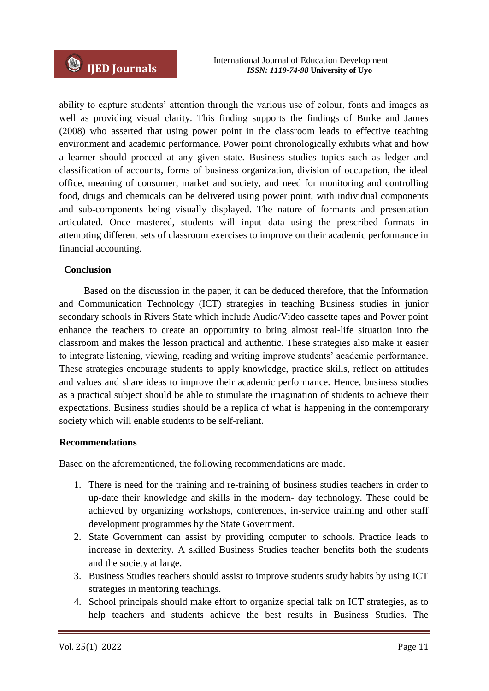ability to capture students' attention through the various use of colour, fonts and images as well as providing visual clarity. This finding supports the findings of Burke and James (2008) who asserted that using power point in the classroom leads to effective teaching environment and academic performance. Power point chronologically exhibits what and how a learner should procced at any given state. Business studies topics such as ledger and classification of accounts, forms of business organization, division of occupation, the ideal office, meaning of consumer, market and society, and need for monitoring and controlling food, drugs and chemicals can be delivered using power point, with individual components and sub-components being visually displayed. The nature of formants and presentation articulated. Once mastered, students will input data using the prescribed formats in attempting different sets of classroom exercises to improve on their academic performance in financial accounting.

### **Conclusion**

 Based on the discussion in the paper, it can be deduced therefore, that the Information and Communication Technology (ICT) strategies in teaching Business studies in junior secondary schools in Rivers State which include Audio/Video cassette tapes and Power point enhance the teachers to create an opportunity to bring almost real-life situation into the classroom and makes the lesson practical and authentic. These strategies also make it easier to integrate listening, viewing, reading and writing improve students' academic performance. These strategies encourage students to apply knowledge, practice skills, reflect on attitudes and values and share ideas to improve their academic performance. Hence, business studies as a practical subject should be able to stimulate the imagination of students to achieve their expectations. Business studies should be a replica of what is happening in the contemporary society which will enable students to be self-reliant.

#### **Recommendations**

Based on the aforementioned, the following recommendations are made.

- 1. There is need for the training and re-training of business studies teachers in order to up-date their knowledge and skills in the modern- day technology. These could be achieved by organizing workshops, conferences, in-service training and other staff development programmes by the State Government.
- 2. State Government can assist by providing computer to schools. Practice leads to increase in dexterity. A skilled Business Studies teacher benefits both the students and the society at large.
- 3. Business Studies teachers should assist to improve students study habits by using ICT strategies in mentoring teachings.
- 4. School principals should make effort to organize special talk on ICT strategies, as to help teachers and students achieve the best results in Business Studies. The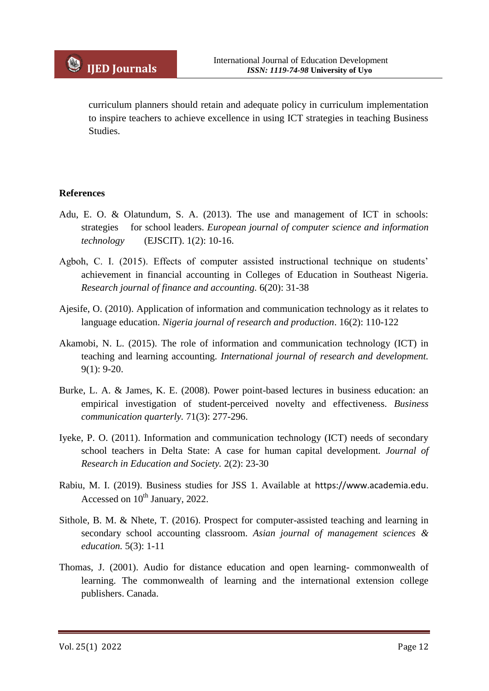curriculum planners should retain and adequate policy in curriculum implementation to inspire teachers to achieve excellence in using ICT strategies in teaching Business Studies.

## **References**

- Adu, E. O. & Olatundum, S. A. (2013). The use and management of ICT in schools: strategies for school leaders. *European journal of computer science and information technology* (EJSCIT). 1(2): 10-16.
- Agboh, C. I. (2015). Effects of computer assisted instructional technique on students' achievement in financial accounting in Colleges of Education in Southeast Nigeria. *Research journal of finance and accounting.* 6(20): 31-38
- Ajesife, O. (2010). Application of information and communication technology as it relates to language education. *Nigeria journal of research and production*. 16(2): 110-122
- Akamobi, N. L. (2015). The role of information and communication technology (ICT) in teaching and learning accounting. *International journal of research and development.* 9(1): 9-20.
- Burke, L. A. & James, K. E. (2008). Power point-based lectures in business education: an empirical investigation of student-perceived novelty and effectiveness. *Business communication quarterly.* 71(3): 277-296.
- Iyeke, P. O. (2011). Information and communication technology (ICT) needs of secondary school teachers in Delta State: A case for human capital development. *Journal of Research in Education and Society.* 2(2): 23-30
- Rabiu, M. I. (2019). Business studies for JSS 1. Available at https://www.academia.edu. Accessed on  $10^{th}$  January, 2022.
- Sithole, B. M. & Nhete, T. (2016). Prospect for computer-assisted teaching and learning in secondary school accounting classroom. *Asian journal of management sciences & education.* 5(3): 1-11
- Thomas, J. (2001). Audio for distance education and open learning- commonwealth of learning. The commonwealth of learning and the international extension college publishers. Canada.